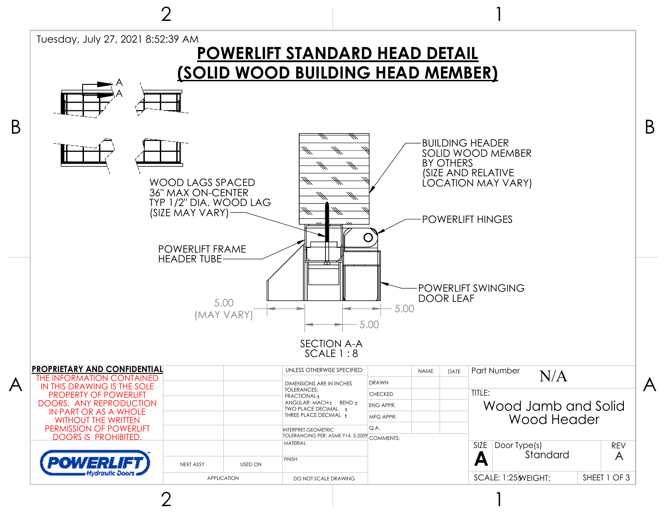

2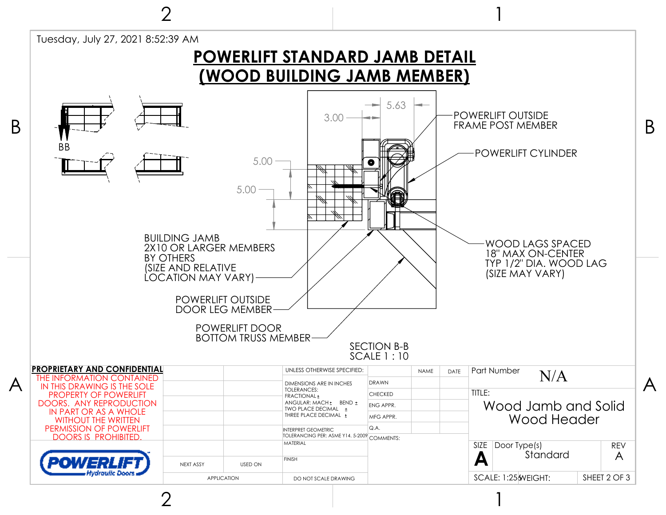